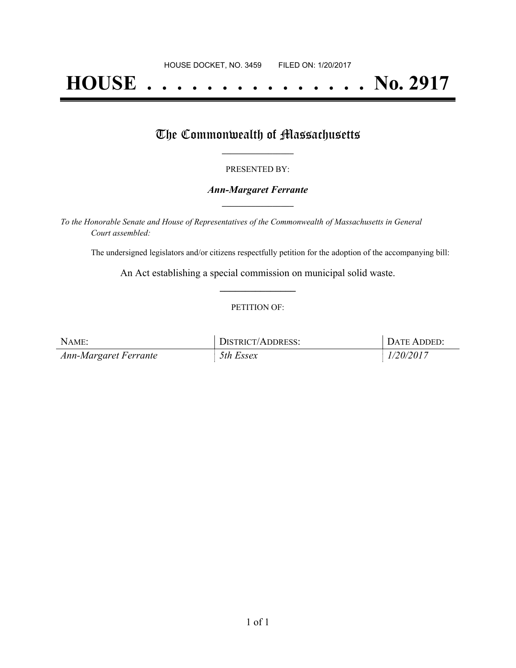# **HOUSE . . . . . . . . . . . . . . . No. 2917**

## The Commonwealth of Massachusetts

#### PRESENTED BY:

#### *Ann-Margaret Ferrante* **\_\_\_\_\_\_\_\_\_\_\_\_\_\_\_\_\_**

*To the Honorable Senate and House of Representatives of the Commonwealth of Massachusetts in General Court assembled:*

The undersigned legislators and/or citizens respectfully petition for the adoption of the accompanying bill:

An Act establishing a special commission on municipal solid waste. **\_\_\_\_\_\_\_\_\_\_\_\_\_\_\_**

#### PETITION OF:

| NAME:                 | DISTRICT/ADDRESS: | DATE ADDED: |
|-----------------------|-------------------|-------------|
| Ann-Margaret Ferrante | 5th Essex         | 1/20/2017   |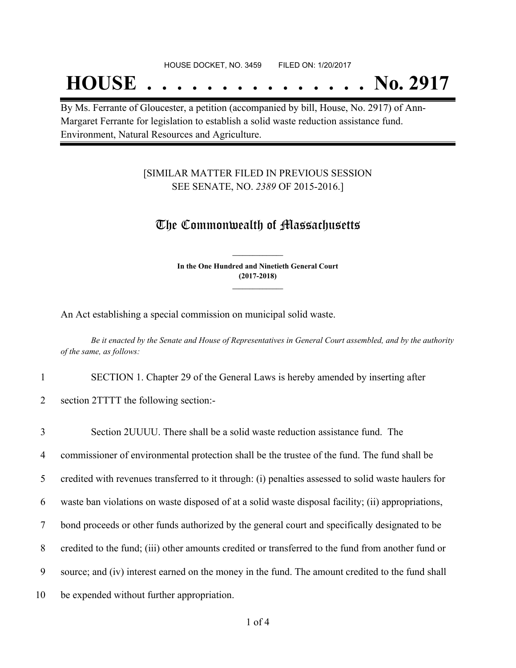## **HOUSE . . . . . . . . . . . . . . . No. 2917**

By Ms. Ferrante of Gloucester, a petition (accompanied by bill, House, No. 2917) of Ann-Margaret Ferrante for legislation to establish a solid waste reduction assistance fund. Environment, Natural Resources and Agriculture.

#### [SIMILAR MATTER FILED IN PREVIOUS SESSION SEE SENATE, NO. *2389* OF 2015-2016.]

### The Commonwealth of Massachusetts

**In the One Hundred and Ninetieth General Court (2017-2018) \_\_\_\_\_\_\_\_\_\_\_\_\_\_\_**

**\_\_\_\_\_\_\_\_\_\_\_\_\_\_\_**

An Act establishing a special commission on municipal solid waste.

Be it enacted by the Senate and House of Representatives in General Court assembled, and by the authority *of the same, as follows:*

1 SECTION 1. Chapter 29 of the General Laws is hereby amended by inserting after

2 section 2TTTT the following section:-

 Section 2UUUU. There shall be a solid waste reduction assistance fund. The commissioner of environmental protection shall be the trustee of the fund. The fund shall be credited with revenues transferred to it through: (i) penalties assessed to solid waste haulers for waste ban violations on waste disposed of at a solid waste disposal facility; (ii) appropriations, bond proceeds or other funds authorized by the general court and specifically designated to be credited to the fund; (iii) other amounts credited or transferred to the fund from another fund or source; and (iv) interest earned on the money in the fund. The amount credited to the fund shall be expended without further appropriation.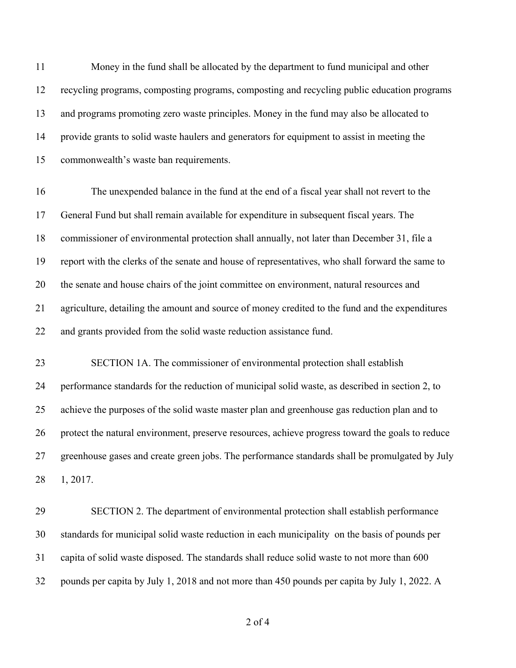Money in the fund shall be allocated by the department to fund municipal and other recycling programs, composting programs, composting and recycling public education programs and programs promoting zero waste principles. Money in the fund may also be allocated to provide grants to solid waste haulers and generators for equipment to assist in meeting the commonwealth's waste ban requirements.

 The unexpended balance in the fund at the end of a fiscal year shall not revert to the General Fund but shall remain available for expenditure in subsequent fiscal years. The commissioner of environmental protection shall annually, not later than December 31, file a report with the clerks of the senate and house of representatives, who shall forward the same to the senate and house chairs of the joint committee on environment, natural resources and agriculture, detailing the amount and source of money credited to the fund and the expenditures and grants provided from the solid waste reduction assistance fund.

 SECTION 1A. The commissioner of environmental protection shall establish performance standards for the reduction of municipal solid waste, as described in section 2, to achieve the purposes of the solid waste master plan and greenhouse gas reduction plan and to protect the natural environment, preserve resources, achieve progress toward the goals to reduce greenhouse gases and create green jobs. The performance standards shall be promulgated by July 1, 2017.

 SECTION 2. The department of environmental protection shall establish performance standards for municipal solid waste reduction in each municipality on the basis of pounds per capita of solid waste disposed. The standards shall reduce solid waste to not more than 600 pounds per capita by July 1, 2018 and not more than 450 pounds per capita by July 1, 2022. A

of 4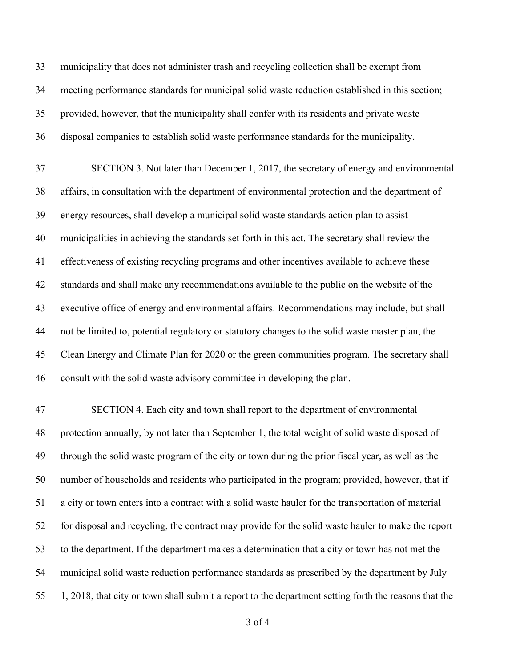municipality that does not administer trash and recycling collection shall be exempt from meeting performance standards for municipal solid waste reduction established in this section; provided, however, that the municipality shall confer with its residents and private waste disposal companies to establish solid waste performance standards for the municipality.

 SECTION 3. Not later than December 1, 2017, the secretary of energy and environmental affairs, in consultation with the department of environmental protection and the department of energy resources, shall develop a municipal solid waste standards action plan to assist municipalities in achieving the standards set forth in this act. The secretary shall review the effectiveness of existing recycling programs and other incentives available to achieve these standards and shall make any recommendations available to the public on the website of the executive office of energy and environmental affairs. Recommendations may include, but shall not be limited to, potential regulatory or statutory changes to the solid waste master plan, the Clean Energy and Climate Plan for 2020 or the green communities program. The secretary shall consult with the solid waste advisory committee in developing the plan.

 SECTION 4. Each city and town shall report to the department of environmental protection annually, by not later than September 1, the total weight of solid waste disposed of through the solid waste program of the city or town during the prior fiscal year, as well as the number of households and residents who participated in the program; provided, however, that if a city or town enters into a contract with a solid waste hauler for the transportation of material for disposal and recycling, the contract may provide for the solid waste hauler to make the report to the department. If the department makes a determination that a city or town has not met the municipal solid waste reduction performance standards as prescribed by the department by July 1, 2018, that city or town shall submit a report to the department setting forth the reasons that the

of 4